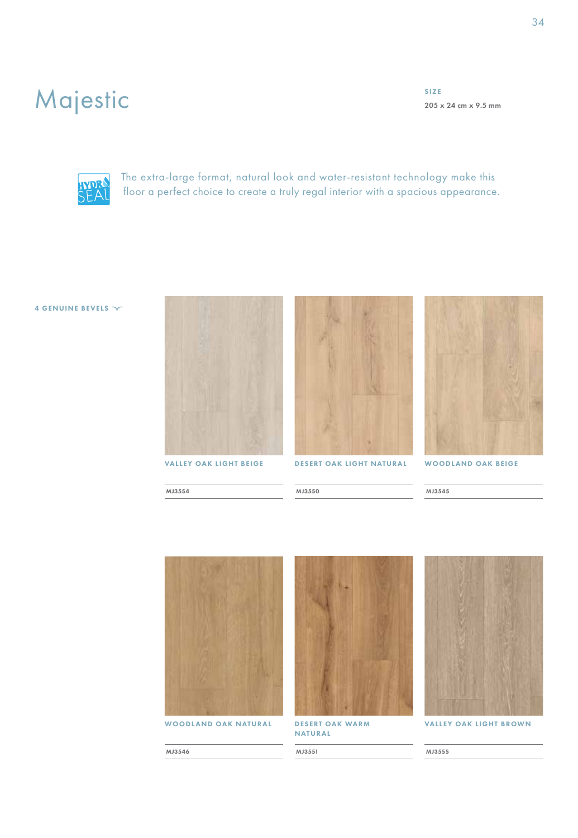## Majestic

SIZE 205 x 24 cm x 9.5 mm



The extra-large format, natural look and water-resistant technology make this floor a perfect choice to create a truly regal interior with a spacious appearance.

MJ3550

## 4 GENUINE BEVELS  $\sim$







WOODLAND OAK BEIGE

MJ3545



WOODLAND OAK NATURAL

DESERT OAK WARM NATURAL

MJ3551



VALLEY OAK LIGHT BROWN

MJ3555

MJ3554